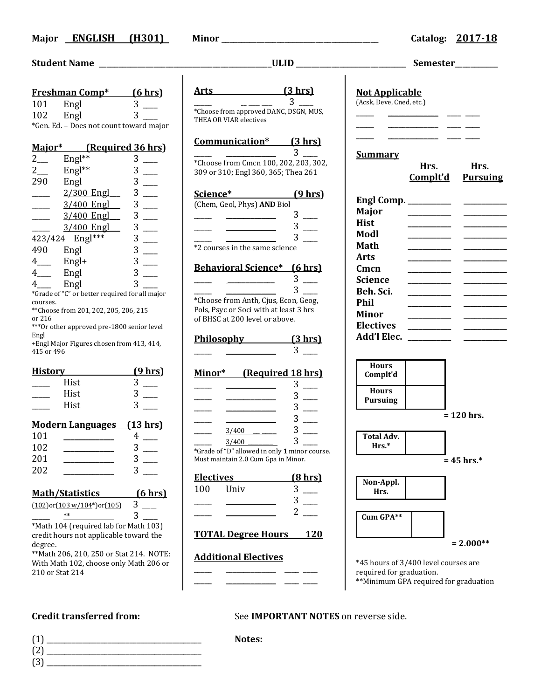### **Major ENGLISH (H301) Minor** \_\_\_\_\_\_\_\_\_\_\_\_\_\_\_\_\_\_\_\_\_\_\_\_\_\_\_\_\_\_\_\_\_\_\_\_\_\_\_\_ **Catalog: 2017-18**

### **Student Name** \_\_\_\_\_\_\_\_\_\_\_\_\_\_\_\_\_\_\_\_\_\_\_\_\_\_\_\_\_\_\_\_\_\_\_\_\_\_\_\_\_\_\_\_**ULID** \_\_\_\_\_\_\_\_\_\_\_\_\_\_\_\_\_\_\_\_\_\_\_\_\_\_\_\_ **Semester**\_\_\_\_\_\_\_\_\_\_\_

|                                          | <u>Freshman Comp*</u>                          | <u>(6 hrs)</u> |  |
|------------------------------------------|------------------------------------------------|----------------|--|
| 101                                      | Engl                                           | 3              |  |
| 102                                      | Engl                                           | 3              |  |
|                                          | *Gen. Ed. - Does not count toward major        |                |  |
|                                          |                                                |                |  |
| Major*                                   | (Required 36 hrs)                              |                |  |
| $2\overline{a}$                          | Engl**                                         | 3              |  |
| $2$ <sub>——</sub>                        | $Engl**$                                       | 3              |  |
| 290                                      | Engl                                           | 3              |  |
|                                          | $2/300$ Engl                                   | 3              |  |
|                                          | 3/400 Engl                                     | 3              |  |
|                                          | 3/400 Engl                                     | 3              |  |
|                                          | 3/400 Engl                                     | 3              |  |
|                                          | 423/424 Engl***                                | 3              |  |
| 490                                      | Engl                                           | 3              |  |
| $4 \underline{\ }$                       | $Engl+$                                        | $\overline{3}$ |  |
| $4$ <sub>——</sub>                        | Engl                                           | $\overline{3}$ |  |
| $4 \quad -$                              | Engl                                           | 3              |  |
|                                          | *Grade of "C" or better required for all major |                |  |
| courses.                                 |                                                |                |  |
| or 216                                   | ** Choose from 201, 202, 205, 206, 215         |                |  |
|                                          | *** Or other approved pre-1800 senior level    |                |  |
| Engl                                     |                                                |                |  |
| 415 or 496                               | +Engl Major Figures chosen from 413, 414,      |                |  |
|                                          |                                                |                |  |
| <u>History —</u>                         |                                                | <u>(9 hrs)</u> |  |
|                                          | Hist                                           | 3              |  |
|                                          | Hist                                           |                |  |
|                                          | Hist                                           |                |  |
|                                          |                                                |                |  |
|                                          | Modern Languages (13 hrs)                      |                |  |
| 101                                      |                                                | 4              |  |
| 102                                      |                                                | 3              |  |
| 201                                      |                                                | 3              |  |
| 202                                      |                                                | 3              |  |
|                                          |                                                |                |  |
|                                          | <u> Math/Statistics</u>                        | <u>(6 hrs)</u> |  |
|                                          | $(102)$ or $(103 w/104*)$ or $(105)$           | 3              |  |
|                                          | $**$                                           | 3              |  |
| *Math 104 (required lab for Math 103)    |                                                |                |  |
| credit hours not applicable toward the   |                                                |                |  |
| degree.                                  |                                                |                |  |
| ** Math 206, 210, 250 or Stat 214. NOTE: |                                                |                |  |

With Math 102, choose only Math 206 or 210 or Stat 214

- (1) \_\_\_\_\_\_\_\_\_\_\_\_\_\_\_\_\_\_\_\_\_\_\_\_\_\_\_\_\_\_\_\_\_\_\_\_\_\_\_\_\_\_\_ **Notes:** (2) \_\_\_\_\_\_\_\_\_\_\_\_\_\_\_\_\_\_\_\_\_\_\_\_\_\_\_\_\_\_\_\_\_\_\_\_\_\_\_\_\_\_\_
- (3) \_\_\_\_\_\_\_\_\_\_\_\_\_\_\_\_\_\_\_\_\_\_\_\_\_\_\_\_\_\_\_\_\_\_\_\_\_\_\_\_\_\_\_

|                                                                                                                                                                                           | Semester_________<br><b>Not Applicable</b><br>(Acsk, Deve, Cned, etc.)                                                                                                                                                                                                                                                                                                                                                                                                                                                                                                                                                                                                                                                                                                                                                                                                                                                                                                                                                                                                                                                                 |  |
|-------------------------------------------------------------------------------------------------------------------------------------------------------------------------------------------|----------------------------------------------------------------------------------------------------------------------------------------------------------------------------------------------------------------------------------------------------------------------------------------------------------------------------------------------------------------------------------------------------------------------------------------------------------------------------------------------------------------------------------------------------------------------------------------------------------------------------------------------------------------------------------------------------------------------------------------------------------------------------------------------------------------------------------------------------------------------------------------------------------------------------------------------------------------------------------------------------------------------------------------------------------------------------------------------------------------------------------------|--|
| Arts (3 hrs)<br>$\overline{3}$                                                                                                                                                            |                                                                                                                                                                                                                                                                                                                                                                                                                                                                                                                                                                                                                                                                                                                                                                                                                                                                                                                                                                                                                                                                                                                                        |  |
| *Choose from approved DANC, DSGN, MUS,<br>THEA OR VIAR electives                                                                                                                          | <u> 1999 - Johann Harry Harry Harry Harry Harry Harry Harry Harry Harry Harry Harry Harry Harry Harry Harry Harry</u>                                                                                                                                                                                                                                                                                                                                                                                                                                                                                                                                                                                                                                                                                                                                                                                                                                                                                                                                                                                                                  |  |
| Communication* (3 hrs)<br>3 <sup>1</sup><br>*Choose from Cmcn 100, 202, 203, 302,<br>309 or 310; Engl 360, 365; Thea 261                                                                  | <u> Albanya a shekara ta 1999 a shekara ta 1999 a shekara ta 1999 a shekara ta 1999 a shekara ta 1999 a shekara t</u><br><b>Summary</b><br>Hrs.<br>Hrs.<br>Complt'd Pursuing                                                                                                                                                                                                                                                                                                                                                                                                                                                                                                                                                                                                                                                                                                                                                                                                                                                                                                                                                           |  |
| Science* (9 hrs)<br>(Chem, Geol, Phys) AND Biol<br>$3 \_$<br>$3$ —<br>*2 courses in the same science                                                                                      | <b>Major</b><br><b>Hist</b><br>Modl<br>Math                                                                                                                                                                                                                                                                                                                                                                                                                                                                                                                                                                                                                                                                                                                                                                                                                                                                                                                                                                                                                                                                                            |  |
| <b>Behavioral Science*</b> (6 hrs)<br>$3 \quad \qquad$<br>$3^{\circ}$<br>*Choose from Anth, Cjus, Econ, Geog,<br>Pols, Psyc or Soci with at least 3 hrs<br>of BHSC at 200 level or above. | Arts<br>Cmcn<br>______________<br>Science<br><u> The Community of the Community of the Community of the Community of the Community of the Community of the Community of the Community of the Community of the Community of the Community of the Community of the Community of</u><br><b>Contract Contract Contract</b><br>Beh. Sci.<br>$\overline{\phantom{a}}$ . The contract of $\overline{\phantom{a}}$<br><b>Phil</b><br><u> La Carlo Carlo III de la Carlo III de la Carlo III de la Carlo III de la Carlo III de la Carlo III de la Ca</u><br><b>Minor</b><br><b>Electives</b><br>$\overline{\phantom{a}}$ and $\overline{\phantom{a}}$ and $\overline{\phantom{a}}$<br>$\begin{array}{cccccccccc} \hline \end{array} \hspace{0.27em} \begin{array}{cccccccccc} \hline \end{array} \hspace{0.27em} \begin{array}{cccccccccc} \hline \end{array} \hspace{0.27em} \begin{array}{cccccccccc} \hline \end{array} \hspace{0.27em} \begin{array}{cccccccccc} \hline \end{array} \hspace{0.27em} \begin{array}{cccccccccc} \hline \end{array} \hspace{0.27em} \begin{array}{cccccccccc} \hline \end{array} \hspace{0.27em} \end{array}$ |  |
| Philosophy (3 hrs)<br>$\overline{\textbf{3}}$<br>Minor* (Required 18 hrs)                                                                                                                 | Add'l Elec. ________<br><b>Hours</b><br>Complt'd                                                                                                                                                                                                                                                                                                                                                                                                                                                                                                                                                                                                                                                                                                                                                                                                                                                                                                                                                                                                                                                                                       |  |
| $3$ —<br>$3$ —<br>$3$ —<br>$\overline{\phantom{a}}$ . The contract of $\overline{\phantom{a}}$<br>$3$ —<br>$\overline{\phantom{a}}$                                                       | <b>Hours</b><br><b>Pursuing</b><br>$= 120$ hrs.                                                                                                                                                                                                                                                                                                                                                                                                                                                                                                                                                                                                                                                                                                                                                                                                                                                                                                                                                                                                                                                                                        |  |
| $3$ $\qquad$<br>3/400<br>$3$ —<br>3/400<br>*Grade of "D" allowed in only 1 minor course.<br>Must maintain 2.0 Cum Gpa in Minor.                                                           | Total Adv.<br>Hrs.*<br>$= 45$ hrs.*                                                                                                                                                                                                                                                                                                                                                                                                                                                                                                                                                                                                                                                                                                                                                                                                                                                                                                                                                                                                                                                                                                    |  |
| <b>Electives</b><br><u>(8 hrs)</u><br>$3$ —<br>100<br>Univ<br>$3$ —<br>$2 \equiv$                                                                                                         | Non-Appl.<br>Hrs.<br>Cum GPA**                                                                                                                                                                                                                                                                                                                                                                                                                                                                                                                                                                                                                                                                                                                                                                                                                                                                                                                                                                                                                                                                                                         |  |
| <b>TOTAL Degree Hours</b><br><u>120</u>                                                                                                                                                   | $= 2.000**$                                                                                                                                                                                                                                                                                                                                                                                                                                                                                                                                                                                                                                                                                                                                                                                                                                                                                                                                                                                                                                                                                                                            |  |
| <b>Additional Electives</b>                                                                                                                                                               | *45 hours of 3/400 level courses are<br>required for graduation.<br>**Minimum GPA required for graduation                                                                                                                                                                                                                                                                                                                                                                                                                                                                                                                                                                                                                                                                                                                                                                                                                                                                                                                                                                                                                              |  |

# **Credit transferred from:** See **IMPORTANT NOTES** on reverse side.